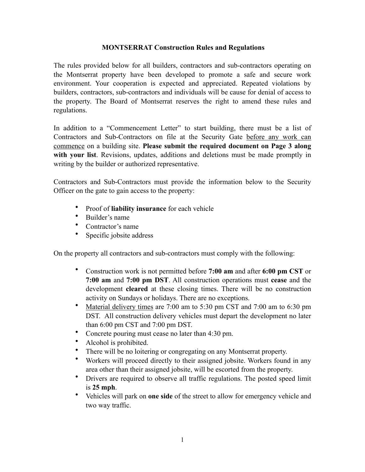## **MONTSERRAT Construction Rules and Regulations**

The rules provided below for all builders, contractors and sub-contractors operating on the Montserrat property have been developed to promote a safe and secure work environment. Your cooperation is expected and appreciated. Repeated violations by builders, contractors, sub-contractors and individuals will be cause for denial of access to the property. The Board of Montserrat reserves the right to amend these rules and regulations.

In addition to a "Commencement Letter" to start building, there must be a list of Contractors and Sub-Contractors on file at the Security Gate before any work can commence on a building site. **Please submit the required document on Page 3 along**  with your list. Revisions, updates, additions and deletions must be made promptly in writing by the builder or authorized representative.

Contractors and Sub-Contractors must provide the information below to the Security Officer on the gate to gain access to the property:

- Proof of **liability insurance** for each vehicle
- Builder's name
- Contractor's name
- Specific jobsite address

On the property all contractors and sub-contractors must comply with the following:

- Construction work is not permitted before **7:00 am** and after **6:00 pm CST** or **7:00 am** and **7:00 pm DST**. All construction operations must **cease** and the development **cleared** at these closing times. There will be no construction activity on Sundays or holidays. There are no exceptions.
- Material delivery times are 7:00 am to 5:30 pm CST and 7:00 am to 6:30 pm DST. All construction delivery vehicles must depart the development no later than 6:00 pm CST and 7:00 pm DST.
- Concrete pouring must cease no later than 4:30 pm.
- Alcohol is prohibited.
- There will be no loitering or congregating on any Montserrat property.
- Workers will proceed directly to their assigned jobsite. Workers found in any area other than their assigned jobsite, will be escorted from the property.
- Drivers are required to observe all traffic regulations. The posted speed limit is **25 mph**.
- Vehicles will park on **one side** of the street to allow for emergency vehicle and two way traffic.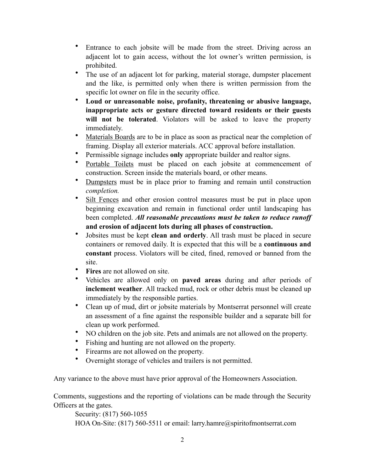- Entrance to each jobsite will be made from the street. Driving across an adjacent lot to gain access, without the lot owner's written permission, is prohibited.
- The use of an adjacent lot for parking, material storage, dumpster placement and the like, is permitted only when there is written permission from the specific lot owner on file in the security office.
- **Loud or unreasonable noise, profanity, threatening or abusive language, inappropriate acts or gesture directed toward residents or their guests will not be tolerated**. Violators will be asked to leave the property immediately.
- Materials Boards are to be in place as soon as practical near the completion of framing. Display all exterior materials. ACC approval before installation.
- Permissible signage includes **only** appropriate builder and realtor signs.
- Portable Toilets must be placed on each jobsite at commencement of construction. Screen inside the materials board, or other means.
- Dumpsters must be in place prior to framing and remain until construction *completion.*
- Silt Fences and other erosion control measures must be put in place upon beginning excavation and remain in functional order until landscaping has been completed. *All reasonable precautions must be taken to reduce runoff* **and erosion of adjacent lots during all phases of construction.**
- Jobsites must be kept **clean and orderly**. All trash must be placed in secure containers or removed daily. It is expected that this will be a **continuous and constant** process. Violators will be cited, fined, removed or banned from the site.
- **Fires** are not allowed on site.
- Vehicles are allowed only on **paved areas** during and after periods of **inclement weather**. All tracked mud, rock or other debris must be cleaned up immediately by the responsible parties.
- Clean up of mud, dirt or jobsite materials by Montserrat personnel will create an assessment of a fine against the responsible builder and a separate bill for clean up work performed.
- NO children on the job site. Pets and animals are not allowed on the property.
- Fishing and hunting are not allowed on the property.
- Firearms are not allowed on the property.
- Overnight storage of vehicles and trailers is not permitted.

Any variance to the above must have prior approval of the Homeowners Association.

Comments, suggestions and the reporting of violations can be made through the Security Officers at the gates.

 Security: (817) 560-1055 HOA On-Site: (817) 560-5511 or email: larry.hamre@spiritofmontserrat.com